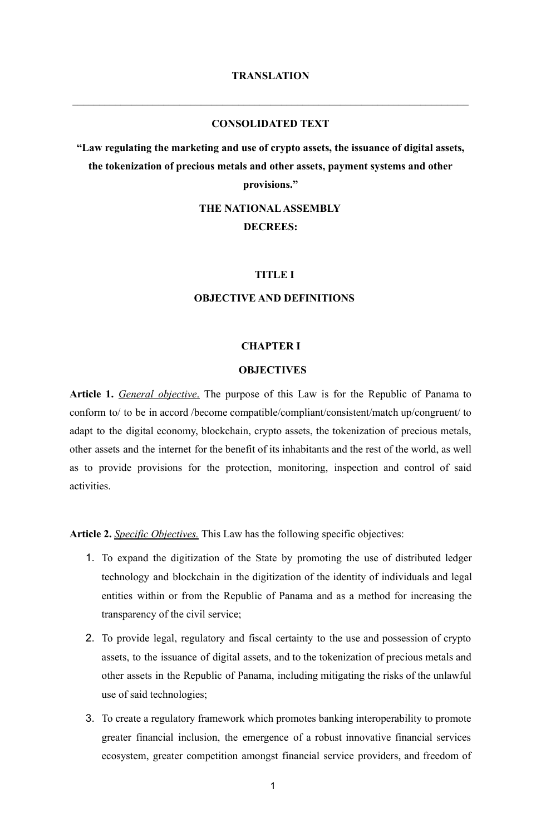**\_\_\_\_\_\_\_\_\_\_\_\_\_\_\_\_\_\_\_\_\_\_\_\_\_\_\_\_\_\_\_\_\_\_\_\_\_\_\_\_\_\_\_\_\_\_\_\_\_\_\_\_\_\_\_\_\_\_\_\_\_\_\_\_\_\_\_\_\_\_\_\_\_\_**

## **CONSOLIDATED TEXT**

**"Law regulating the marketing and use of crypto assets, the issuance of digital assets, the tokenization of precious metals and other assets, payment systems and other provisions."**

> **THE NATIONALASSEMBLY DECREES:**

## **TITLE I**

## **OBJECTIVE AND DEFINITIONS**

## **CHAPTER I**

#### **OBJECTIVES**

**Article 1.** *General objective*. The purpose of this Law is for the Republic of Panama to conform to/ to be in accord /become compatible/compliant/consistent/match up/congruent/ to adapt to the digital economy, blockchain, crypto assets, the tokenization of precious metals, other assets and the internet for the benefit of its inhabitants and the rest of the world, as well as to provide provisions for the protection, monitoring, inspection and control of said activities.

**Article 2.** *Specific Objectives.* This Law has the following specific objectives:

- 1. To expand the digitization of the State by promoting the use of distributed ledger technology and blockchain in the digitization of the identity of individuals and legal entities within or from the Republic of Panama and as a method for increasing the transparency of the civil service;
- 2. To provide legal, regulatory and fiscal certainty to the use and possession of crypto assets, to the issuance of digital assets, and to the tokenization of precious metals and other assets in the Republic of Panama, including mitigating the risks of the unlawful use of said technologies;
- 3. To create a regulatory framework which promotes banking interoperability to promote greater financial inclusion, the emergence of a robust innovative financial services ecosystem, greater competition amongst financial service providers, and freedom of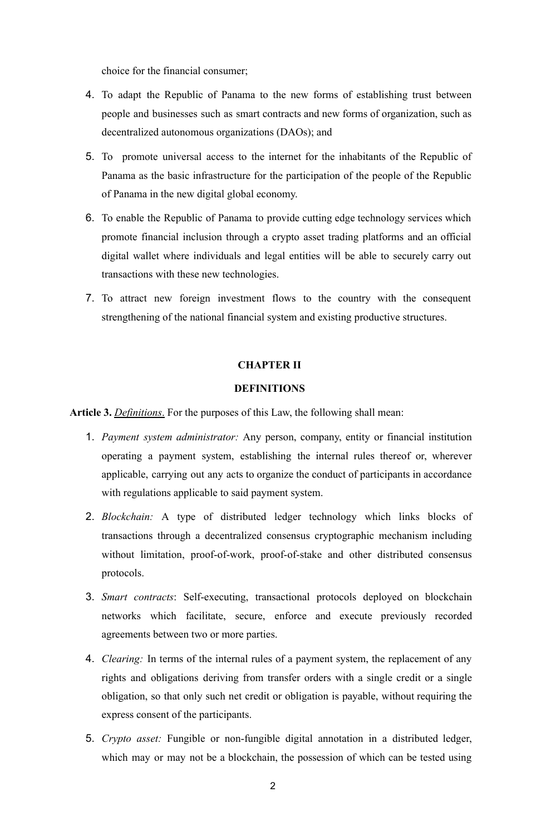choice for the financial consumer;

- 4. To adapt the Republic of Panama to the new forms of establishing trust between people and businesses such as smart contracts and new forms of organization, such as decentralized autonomous organizations (DAOs); and
- 5. To promote universal access to the internet for the inhabitants of the Republic of Panama as the basic infrastructure for the participation of the people of the Republic of Panama in the new digital global economy.
- 6. To enable the Republic of Panama to provide cutting edge technology services which promote financial inclusion through a crypto asset trading platforms and an official digital wallet where individuals and legal entities will be able to securely carry out transactions with these new technologies.
- 7. To attract new foreign investment flows to the country with the consequent strengthening of the national financial system and existing productive structures.

## **CHAPTER II**

## **DEFINITIONS**

**Article 3.** *Definitions*. For the purposes of this Law, the following shall mean:

- 1. *Payment system administrator:* Any person, company, entity or financial institution operating a payment system, establishing the internal rules thereof or, wherever applicable, carrying out any acts to organize the conduct of participants in accordance with regulations applicable to said payment system.
- 2. *Blockchain:* A type of distributed ledger technology which links blocks of transactions through a decentralized consensus cryptographic mechanism including without limitation, proof-of-work, proof-of-stake and other distributed consensus protocols.
- 3. *Smart contracts*: Self-executing, transactional protocols deployed on blockchain networks which facilitate, secure, enforce and execute previously recorded agreements between two or more parties.
- 4. *Clearing:* In terms of the internal rules of a payment system, the replacement of any rights and obligations deriving from transfer orders with a single credit or a single obligation, so that only such net credit or obligation is payable, without requiring the express consent of the participants.
- 5. *Crypto asset:* Fungible or non-fungible digital annotation in a distributed ledger, which may or may not be a blockchain, the possession of which can be tested using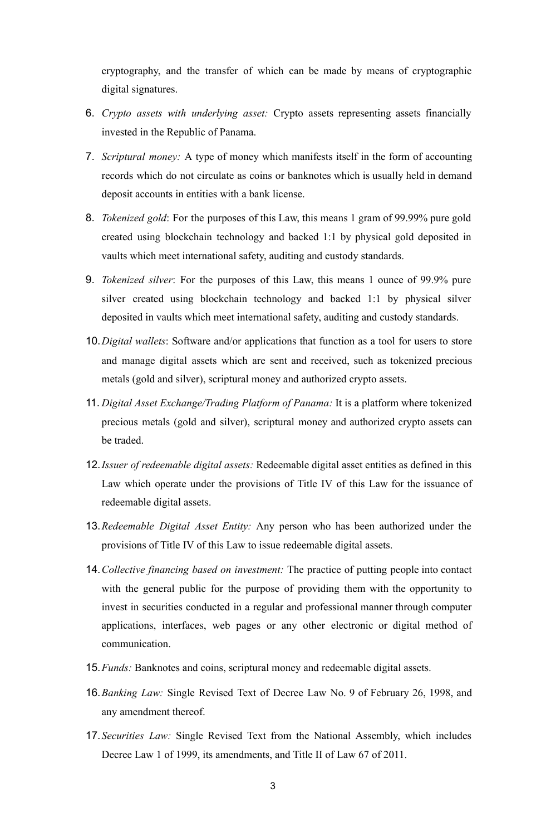cryptography, and the transfer of which can be made by means of cryptographic digital signatures.

- 6. *Crypto assets with underlying asset:* Crypto assets representing assets financially invested in the Republic of Panama.
- 7. *Scriptural money:* A type of money which manifests itself in the form of accounting records which do not circulate as coins or banknotes which is usually held in demand deposit accounts in entities with a bank license.
- 8. *Tokenized gold*: For the purposes of this Law, this means 1 gram of 99.99% pure gold created using blockchain technology and backed 1:1 by physical gold deposited in vaults which meet international safety, auditing and custody standards.
- 9. *Tokenized silver*: For the purposes of this Law, this means 1 ounce of 99.9% pure silver created using blockchain technology and backed 1:1 by physical silver deposited in vaults which meet international safety, auditing and custody standards.
- 10.*Digital wallets*: Software and/or applications that function as a tool for users to store and manage digital assets which are sent and received, such as tokenized precious metals (gold and silver), scriptural money and authorized crypto assets.
- 11. *Digital Asset Exchange/Trading Platform of Panama:* It is a platform where tokenized precious metals (gold and silver), scriptural money and authorized crypto assets can be traded.
- 12.*Issuer of redeemable digital assets:* Redeemable digital asset entities as defined in this Law which operate under the provisions of Title IV of this Law for the issuance of redeemable digital assets.
- 13.*Redeemable Digital Asset Entity:* Any person who has been authorized under the provisions of Title IV of this Law to issue redeemable digital assets.
- 14.*Collective financing based on investment:* The practice of putting people into contact with the general public for the purpose of providing them with the opportunity to invest in securities conducted in a regular and professional manner through computer applications, interfaces, web pages or any other electronic or digital method of communication.
- 15.*Funds:* Banknotes and coins, scriptural money and redeemable digital assets.
- 16.*Banking Law:* Single Revised Text of Decree Law No. 9 of February 26, 1998, and any amendment thereof.
- 17.*Securities Law:* Single Revised Text from the National Assembly, which includes Decree Law 1 of 1999, its amendments, and Title II of Law 67 of 2011.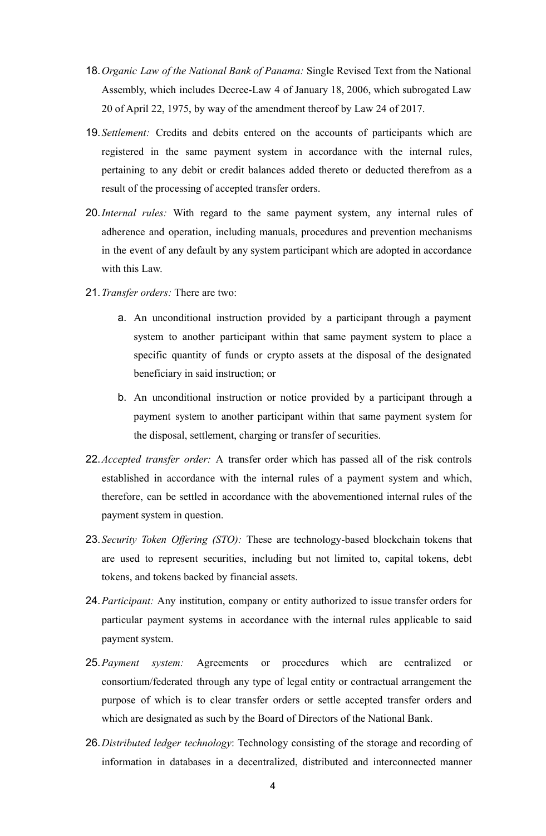- 18.*Organic Law of the National Bank of Panama:* Single Revised Text from the National Assembly, which includes Decree-Law 4 of January 18, 2006, which subrogated Law 20 of April 22, 1975, by way of the amendment thereof by Law 24 of 2017.
- 19.*Settlement:* Credits and debits entered on the accounts of participants which are registered in the same payment system in accordance with the internal rules, pertaining to any debit or credit balances added thereto or deducted therefrom as a result of the processing of accepted transfer orders.
- 20.*Internal rules:* With regard to the same payment system, any internal rules of adherence and operation, including manuals, procedures and prevention mechanisms in the event of any default by any system participant which are adopted in accordance with this Law.
- 21.*Transfer orders:* There are two:
	- a. An unconditional instruction provided by a participant through a payment system to another participant within that same payment system to place a specific quantity of funds or crypto assets at the disposal of the designated beneficiary in said instruction; or
	- b. An unconditional instruction or notice provided by a participant through a payment system to another participant within that same payment system for the disposal, settlement, charging or transfer of securities.
- 22.*Accepted transfer order:* A transfer order which has passed all of the risk controls established in accordance with the internal rules of a payment system and which, therefore, can be settled in accordance with the abovementioned internal rules of the payment system in question.
- 23.*Security Token Offering (STO):* These are technology-based blockchain tokens that are used to represent securities, including but not limited to, capital tokens, debt tokens, and tokens backed by financial assets.
- 24.*Participant:* Any institution, company or entity authorized to issue transfer orders for particular payment systems in accordance with the internal rules applicable to said payment system.
- 25.*Payment system:* Agreements or procedures which are centralized or consortium/federated through any type of legal entity or contractual arrangement the purpose of which is to clear transfer orders or settle accepted transfer orders and which are designated as such by the Board of Directors of the National Bank.
- 26.*Distributed ledger technology*: Technology consisting of the storage and recording of information in databases in a decentralized, distributed and interconnected manner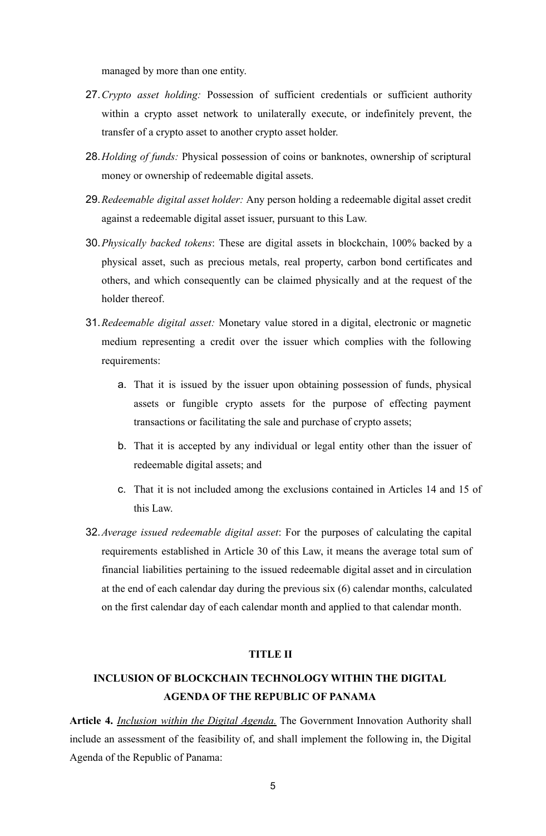managed by more than one entity.

- 27.*Crypto asset holding:* Possession of sufficient credentials or sufficient authority within a crypto asset network to unilaterally execute, or indefinitely prevent, the transfer of a crypto asset to another crypto asset holder.
- 28.*Holding of funds:* Physical possession of coins or banknotes, ownership of scriptural money or ownership of redeemable digital assets.
- 29.*Redeemable digital asset holder:* Any person holding a redeemable digital asset credit against a redeemable digital asset issuer, pursuant to this Law.
- 30.*Physically backed tokens*: These are digital assets in blockchain, 100% backed by a physical asset, such as precious metals, real property, carbon bond certificates and others, and which consequently can be claimed physically and at the request of the holder thereof.
- 31.*Redeemable digital asset:* Monetary value stored in a digital, electronic or magnetic medium representing a credit over the issuer which complies with the following requirements:
	- a. That it is issued by the issuer upon obtaining possession of funds, physical assets or fungible crypto assets for the purpose of effecting payment transactions or facilitating the sale and purchase of crypto assets;
	- b. That it is accepted by any individual or legal entity other than the issuer of redeemable digital assets; and
	- c. That it is not included among the exclusions contained in Articles 14 and 15 of this Law.
- 32.*Average issued redeemable digital asset*: For the purposes of calculating the capital requirements established in Article 30 of this Law, it means the average total sum of financial liabilities pertaining to the issued redeemable digital asset and in circulation at the end of each calendar day during the previous six (6) calendar months, calculated on the first calendar day of each calendar month and applied to that calendar month.

#### **TITLE II**

## **INCLUSION OF BLOCKCHAIN TECHNOLOGY WITHIN THE DIGITAL AGENDA OF THE REPUBLIC OF PANAMA**

**Article 4.** *Inclusion within the Digital Agenda.* The Government Innovation Authority shall include an assessment of the feasibility of, and shall implement the following in, the Digital Agenda of the Republic of Panama: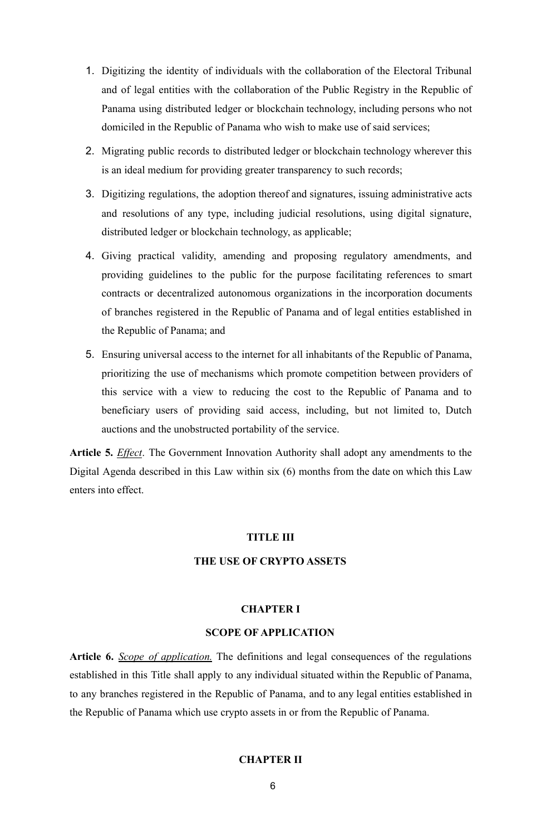- 1. Digitizing the identity of individuals with the collaboration of the Electoral Tribunal and of legal entities with the collaboration of the Public Registry in the Republic of Panama using distributed ledger or blockchain technology, including persons who not domiciled in the Republic of Panama who wish to make use of said services;
- 2. Migrating public records to distributed ledger or blockchain technology wherever this is an ideal medium for providing greater transparency to such records;
- 3. Digitizing regulations, the adoption thereof and signatures, issuing administrative acts and resolutions of any type, including judicial resolutions, using digital signature, distributed ledger or blockchain technology, as applicable;
- 4. Giving practical validity, amending and proposing regulatory amendments, and providing guidelines to the public for the purpose facilitating references to smart contracts or decentralized autonomous organizations in the incorporation documents of branches registered in the Republic of Panama and of legal entities established in the Republic of Panama; and
- 5. Ensuring universal access to the internet for all inhabitants of the Republic of Panama, prioritizing the use of mechanisms which promote competition between providers of this service with a view to reducing the cost to the Republic of Panama and to beneficiary users of providing said access, including, but not limited to, Dutch auctions and the unobstructed portability of the service.

**Article 5.** *Effect*. The Government Innovation Authority shall adopt any amendments to the Digital Agenda described in this Law within six (6) months from the date on which this Law enters into effect.

## **TITLE III**

## **THE USE OF CRYPTO ASSETS**

## **CHAPTER I**

## **SCOPE OF APPLICATION**

**Article 6.** *Scope of application.* The definitions and legal consequences of the regulations established in this Title shall apply to any individual situated within the Republic of Panama, to any branches registered in the Republic of Panama, and to any legal entities established in the Republic of Panama which use crypto assets in or from the Republic of Panama.

#### **CHAPTER II**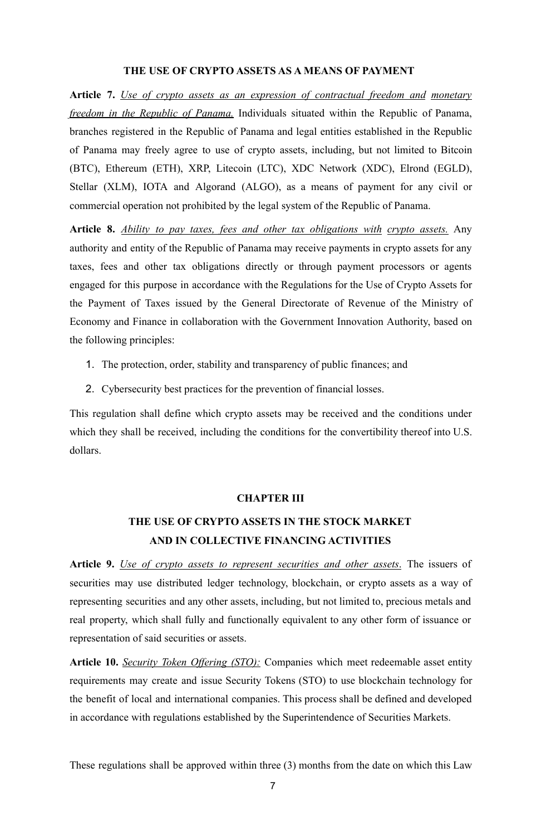## **THE USE OF CRYPTO ASSETS AS A MEANS OF PAYMENT**

**Article 7.** *Use of crypto assets as an expression of contractual freedom and monetary freedom in the Republic of Panama.* Individuals situated within the Republic of Panama, branches registered in the Republic of Panama and legal entities established in the Republic of Panama may freely agree to use of crypto assets, including, but not limited to Bitcoin (BTC), Ethereum (ETH), XRP, Litecoin (LTC), XDC Network (XDC), Elrond (EGLD), Stellar (XLM), IOTA and Algorand (ALGO), as a means of payment for any civil or commercial operation not prohibited by the legal system of the Republic of Panama.

**Article 8.** *Ability to pay taxes, fees and other tax obligations with crypto assets.* Any authority and entity of the Republic of Panama may receive payments in crypto assets for any taxes, fees and other tax obligations directly or through payment processors or agents engaged for this purpose in accordance with the Regulations for the Use of Crypto Assets for the Payment of Taxes issued by the General Directorate of Revenue of the Ministry of Economy and Finance in collaboration with the Government Innovation Authority, based on the following principles:

- 1. The protection, order, stability and transparency of public finances; and
- 2. Cybersecurity best practices for the prevention of financial losses.

This regulation shall define which crypto assets may be received and the conditions under which they shall be received, including the conditions for the convertibility thereof into U.S. dollars.

#### **CHAPTER III**

## **THE USE OF CRYPTO ASSETS IN THE STOCK MARKET AND IN COLLECTIVE FINANCING ACTIVITIES**

**Article 9.** *Use of crypto assets to represent securities and other assets*. The issuers of securities may use distributed ledger technology, blockchain, or crypto assets as a way of representing securities and any other assets, including, but not limited to, precious metals and real property, which shall fully and functionally equivalent to any other form of issuance or representation of said securities or assets.

**Article 10.** *Security Token Offering (STO):* Companies which meet redeemable asset entity requirements may create and issue Security Tokens (STO) to use blockchain technology for the benefit of local and international companies. This process shall be defined and developed in accordance with regulations established by the Superintendence of Securities Markets.

These regulations shall be approved within three (3) months from the date on which this Law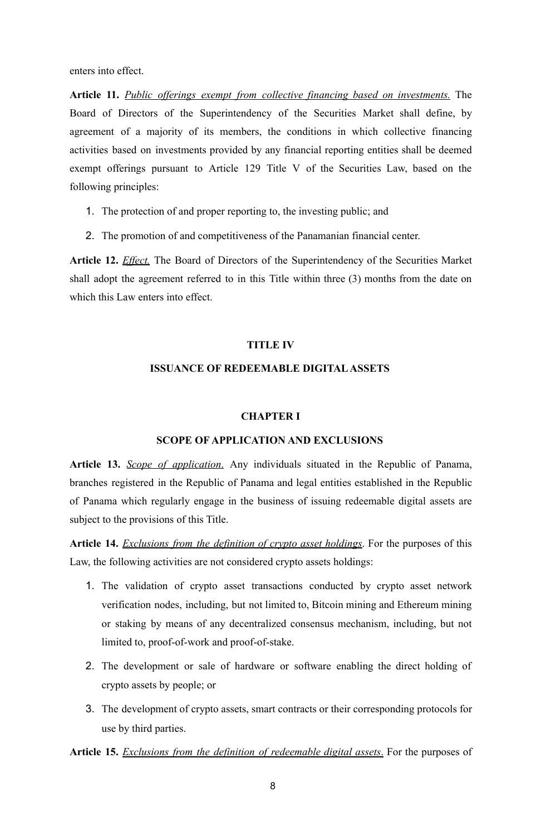enters into effect.

**Article 11.** *Public offerings exempt from collective financing based on investments.* The Board of Directors of the Superintendency of the Securities Market shall define, by agreement of a majority of its members, the conditions in which collective financing activities based on investments provided by any financial reporting entities shall be deemed exempt offerings pursuant to Article 129 Title V of the Securities Law, based on the following principles:

- 1. The protection of and proper reporting to, the investing public; and
- 2. The promotion of and competitiveness of the Panamanian financial center.

**Article 12.** *Effect.* The Board of Directors of the Superintendency of the Securities Market shall adopt the agreement referred to in this Title within three (3) months from the date on which this Law enters into effect.

## **TITLE IV**

## **ISSUANCE OF REDEEMABLE DIGITALASSETS**

## **CHAPTER I**

## **SCOPE OF APPLICATION AND EXCLUSIONS**

**Article 13.** *Scope of application*. Any individuals situated in the Republic of Panama, branches registered in the Republic of Panama and legal entities established in the Republic of Panama which regularly engage in the business of issuing redeemable digital assets are subject to the provisions of this Title.

**Article 14.** *Exclusions from the definition of crypto asset holdings*. For the purposes of this Law, the following activities are not considered crypto assets holdings:

- 1. The validation of crypto asset transactions conducted by crypto asset network verification nodes, including, but not limited to, Bitcoin mining and Ethereum mining or staking by means of any decentralized consensus mechanism, including, but not limited to, proof-of-work and proof-of-stake.
- 2. The development or sale of hardware or software enabling the direct holding of crypto assets by people; or
- 3. The development of crypto assets, smart contracts or their corresponding protocols for use by third parties.

**Article 15.** *Exclusions from the definition of redeemable digital assets*. For the purposes of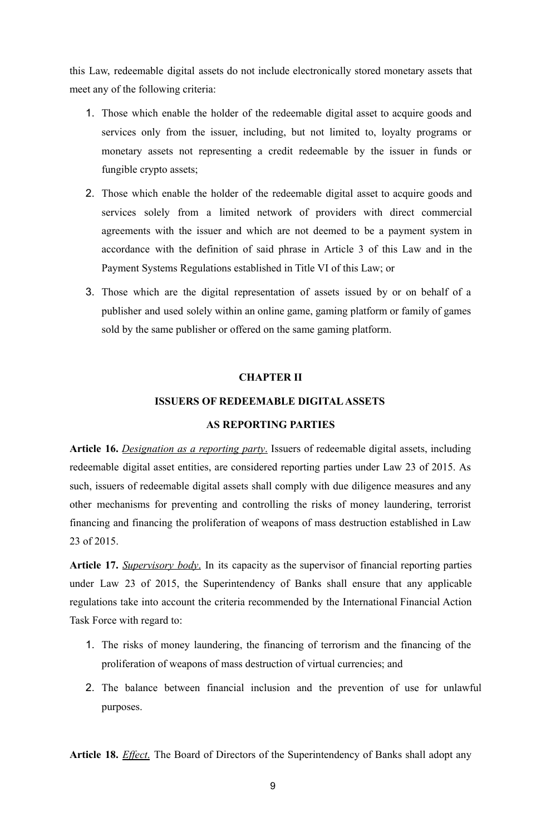this Law, redeemable digital assets do not include electronically stored monetary assets that meet any of the following criteria:

- 1. Those which enable the holder of the redeemable digital asset to acquire goods and services only from the issuer, including, but not limited to, loyalty programs or monetary assets not representing a credit redeemable by the issuer in funds or fungible crypto assets;
- 2. Those which enable the holder of the redeemable digital asset to acquire goods and services solely from a limited network of providers with direct commercial agreements with the issuer and which are not deemed to be a payment system in accordance with the definition of said phrase in Article 3 of this Law and in the Payment Systems Regulations established in Title VI of this Law; or
- 3. Those which are the digital representation of assets issued by or on behalf of a publisher and used solely within an online game, gaming platform or family of games sold by the same publisher or offered on the same gaming platform.

## **CHAPTER II**

## **ISSUERS OF REDEEMABLE DIGITALASSETS**

## **AS REPORTING PARTIES**

**Article 16.** *Designation as a reporting party*. Issuers of redeemable digital assets, including redeemable digital asset entities, are considered reporting parties under Law 23 of 2015. As such, issuers of redeemable digital assets shall comply with due diligence measures and any other mechanisms for preventing and controlling the risks of money laundering, terrorist financing and financing the proliferation of weapons of mass destruction established in Law 23 of 2015.

**Article 17.** *Supervisory body*. In its capacity as the supervisor of financial reporting parties under Law 23 of 2015, the Superintendency of Banks shall ensure that any applicable regulations take into account the criteria recommended by the International Financial Action Task Force with regard to:

- 1. The risks of money laundering, the financing of terrorism and the financing of the proliferation of weapons of mass destruction of virtual currencies; and
- 2. The balance between financial inclusion and the prevention of use for unlawful purposes.

**Article 18.** *Effect*. The Board of Directors of the Superintendency of Banks shall adopt any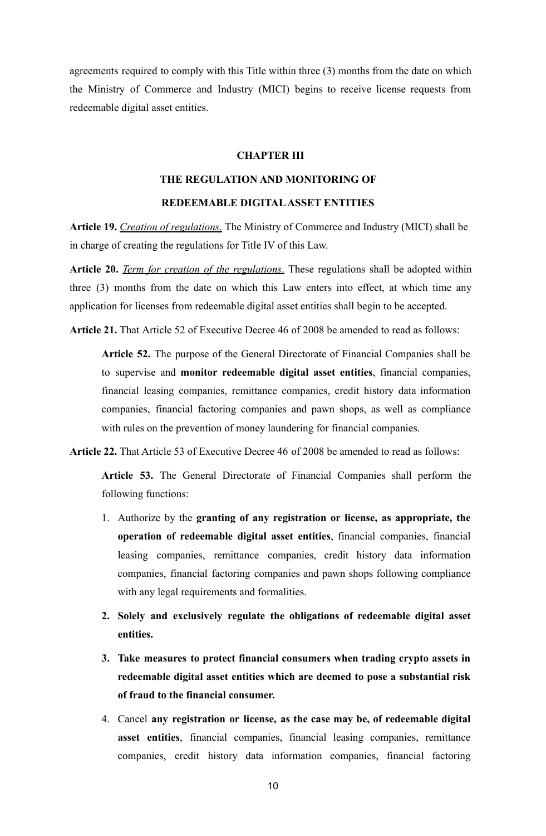agreements required to comply with this Title within three (3) months from the date on which the Ministry of Commerce and Industry (MICI) begins to receive license requests from redeemable digital asset entities.

## **CHAPTER III**

## **THE REGULATION AND MONITORING OF**

## **REDEEMABLE DIGITALASSET ENTITIES**

**Article 19.** *Creation of regulations*. The Ministry of Commerce and Industry (MICI) shall be in charge of creating the regulations for Title IV of this Law.

**Article 20.** *Term for creation of the regulations*. These regulations shall be adopted within three (3) months from the date on which this Law enters into effect, at which time any application for licenses from redeemable digital asset entities shall begin to be accepted.

**Article 21.** That Article 52 of Executive Decree 46 of 2008 be amended to read as follows:

**Article 52.** The purpose of the General Directorate of Financial Companies shall be to supervise and **monitor redeemable digital asset entities**, financial companies, financial leasing companies, remittance companies, credit history data information companies, financial factoring companies and pawn shops, as well as compliance with rules on the prevention of money laundering for financial companies.

**Article 22.** That Article 53 of Executive Decree 46 of 2008 be amended to read as follows:

**Article 53.** The General Directorate of Financial Companies shall perform the following functions:

- 1. Authorize by the **granting of any registration or license, as appropriate, the operation of redeemable digital asset entities**, financial companies, financial leasing companies, remittance companies, credit history data information companies, financial factoring companies and pawn shops following compliance with any legal requirements and formalities.
- **2. Solely and exclusively regulate the obligations of redeemable digital asset entities.**
- **3. Take measures to protect financial consumers when trading crypto assets in redeemable digital asset entities which are deemed to pose a substantial risk of fraud to the financial consumer.**
- 4. Cancel **any registration or license, as the case may be, of redeemable digital asset entities**, financial companies, financial leasing companies, remittance companies, credit history data information companies, financial factoring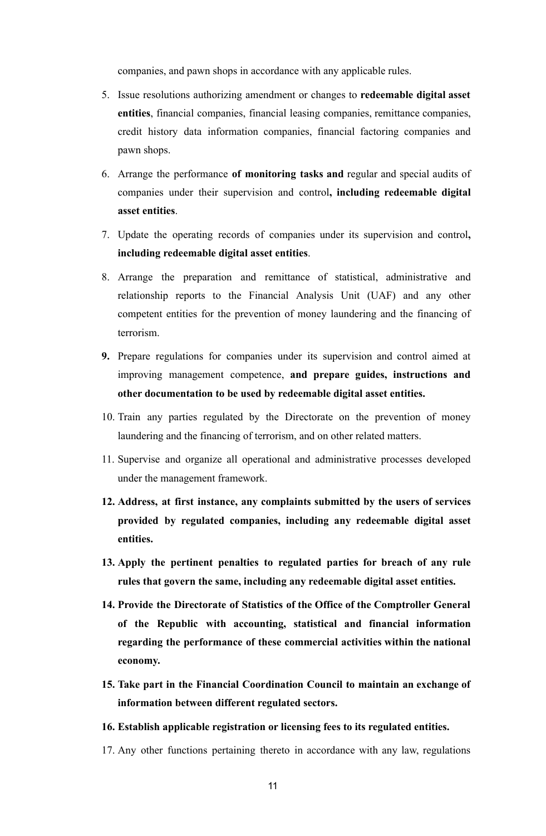companies, and pawn shops in accordance with any applicable rules.

- 5. Issue resolutions authorizing amendment or changes to **redeemable digital asset entities**, financial companies, financial leasing companies, remittance companies, credit history data information companies, financial factoring companies and pawn shops.
- 6. Arrange the performance **of monitoring tasks and** regular and special audits of companies under their supervision and control**, including redeemable digital asset entities**.
- 7. Update the operating records of companies under its supervision and control**, including redeemable digital asset entities**.
- 8. Arrange the preparation and remittance of statistical, administrative and relationship reports to the Financial Analysis Unit (UAF) and any other competent entities for the prevention of money laundering and the financing of terrorism.
- **9.** Prepare regulations for companies under its supervision and control aimed at improving management competence, **and prepare guides, instructions and other documentation to be used by redeemable digital asset entities.**
- 10. Train any parties regulated by the Directorate on the prevention of money laundering and the financing of terrorism, and on other related matters.
- 11. Supervise and organize all operational and administrative processes developed under the management framework.
- **12. Address, at first instance, any complaints submitted by the users of services provided by regulated companies, including any redeemable digital asset entities.**
- **13. Apply the pertinent penalties to regulated parties for breach of any rule rules that govern the same, including any redeemable digital asset entities.**
- **14. Provide the Directorate of Statistics of the Office of the Comptroller General of the Republic with accounting, statistical and financial information regarding the performance of these commercial activities within the national economy.**
- **15. Take part in the Financial Coordination Council to maintain an exchange of information between different regulated sectors.**
- **16. Establish applicable registration or licensing fees to its regulated entities.**
- 17. Any other functions pertaining thereto in accordance with any law, regulations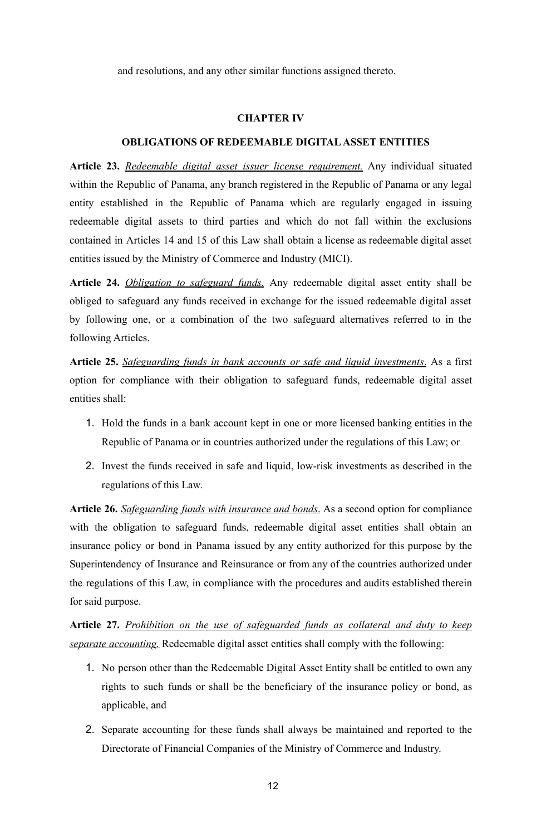and resolutions, and any other similar functions assigned thereto.

#### **CHAPTER IV**

## **OBLIGATIONS OF REDEEMABLE DIGITALASSET ENTITIES**

**Article 23.** *Redeemable digital asset issuer license requirement.* Any individual situated within the Republic of Panama, any branch registered in the Republic of Panama or any legal entity established in the Republic of Panama which are regularly engaged in issuing redeemable digital assets to third parties and which do not fall within the exclusions contained in Articles 14 and 15 of this Law shall obtain a license as redeemable digital asset entities issued by the Ministry of Commerce and Industry (MICI).

**Article 24.** *Obligation to safeguard funds*. Any redeemable digital asset entity shall be obliged to safeguard any funds received in exchange for the issued redeemable digital asset by following one, or a combination of the two safeguard alternatives referred to in the following Articles.

**Article 25.** *Safeguarding funds in bank accounts or safe and liquid investments*. As a first option for compliance with their obligation to safeguard funds, redeemable digital asset entities shall:

- 1. Hold the funds in a bank account kept in one or more licensed banking entities in the Republic of Panama or in countries authorized under the regulations of this Law; or
- 2. Invest the funds received in safe and liquid, low-risk investments as described in the regulations of this Law.

**Article 26.** *Safeguarding funds with insurance and bonds*. As a second option for compliance with the obligation to safeguard funds, redeemable digital asset entities shall obtain an insurance policy or bond in Panama issued by any entity authorized for this purpose by the Superintendency of Insurance and Reinsurance or from any of the countries authorized under the regulations of this Law, in compliance with the procedures and audits established therein for said purpose.

**Article 27.** *Prohibition on the use of safeguarded funds as collateral and duty to keep separate accounting.* Redeemable digital asset entities shall comply with the following:

- 1. No person other than the Redeemable Digital Asset Entity shall be entitled to own any rights to such funds or shall be the beneficiary of the insurance policy or bond, as applicable, and
- 2. Separate accounting for these funds shall always be maintained and reported to the Directorate of Financial Companies of the Ministry of Commerce and Industry.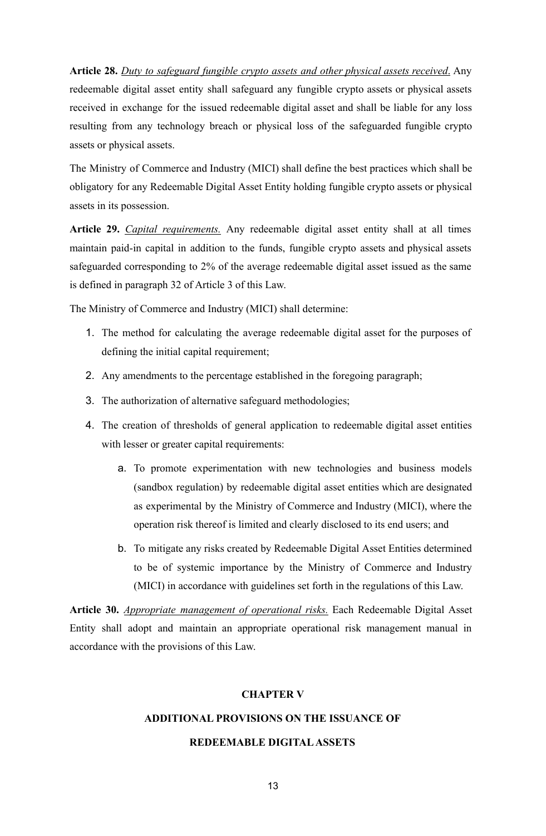**Article 28.** *Duty to safeguard fungible crypto assets and other physical assets received*. Any redeemable digital asset entity shall safeguard any fungible crypto assets or physical assets received in exchange for the issued redeemable digital asset and shall be liable for any loss resulting from any technology breach or physical loss of the safeguarded fungible crypto assets or physical assets.

The Ministry of Commerce and Industry (MICI) shall define the best practices which shall be obligatory for any Redeemable Digital Asset Entity holding fungible crypto assets or physical assets in its possession.

**Article 29.** *Capital requirements.* Any redeemable digital asset entity shall at all times maintain paid-in capital in addition to the funds, fungible crypto assets and physical assets safeguarded corresponding to 2% of the average redeemable digital asset issued as the same is defined in paragraph 32 of Article 3 of this Law.

The Ministry of Commerce and Industry (MICI) shall determine:

- 1. The method for calculating the average redeemable digital asset for the purposes of defining the initial capital requirement;
- 2. Any amendments to the percentage established in the foregoing paragraph;
- 3. The authorization of alternative safeguard methodologies;
- 4. The creation of thresholds of general application to redeemable digital asset entities with lesser or greater capital requirements:
	- a. To promote experimentation with new technologies and business models (sandbox regulation) by redeemable digital asset entities which are designated as experimental by the Ministry of Commerce and Industry (MICI), where the operation risk thereof is limited and clearly disclosed to its end users; and
	- b. To mitigate any risks created by Redeemable Digital Asset Entities determined to be of systemic importance by the Ministry of Commerce and Industry (MICI) in accordance with guidelines set forth in the regulations of this Law.

**Article 30.** *Appropriate management of operational risks.* Each Redeemable Digital Asset Entity shall adopt and maintain an appropriate operational risk management manual in accordance with the provisions of this Law.

## **CHAPTER V**

## **ADDITIONAL PROVISIONS ON THE ISSUANCE OF**

## **REDEEMABLE DIGITALASSETS**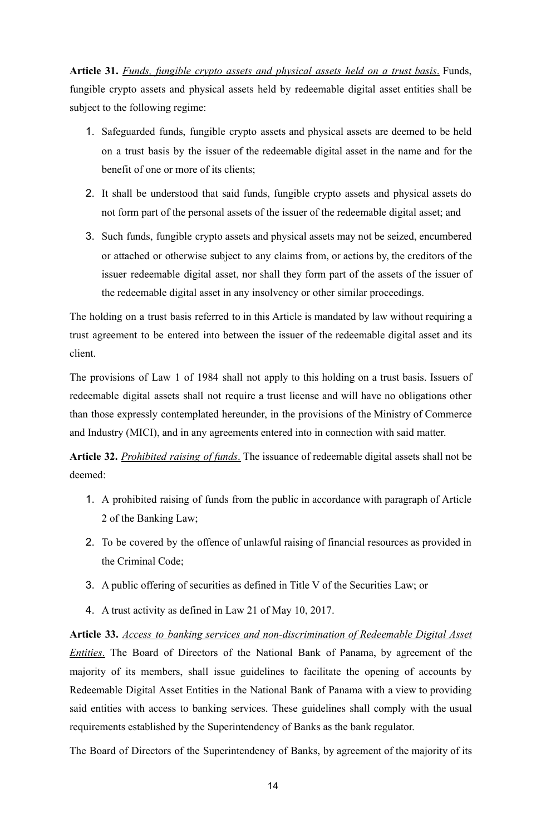**Article 31.** *Funds, fungible crypto assets and physical assets held on a trust basis*. Funds, fungible crypto assets and physical assets held by redeemable digital asset entities shall be subject to the following regime:

- 1. Safeguarded funds, fungible crypto assets and physical assets are deemed to be held on a trust basis by the issuer of the redeemable digital asset in the name and for the benefit of one or more of its clients;
- 2. It shall be understood that said funds, fungible crypto assets and physical assets do not form part of the personal assets of the issuer of the redeemable digital asset; and
- 3. Such funds, fungible crypto assets and physical assets may not be seized, encumbered or attached or otherwise subject to any claims from, or actions by, the creditors of the issuer redeemable digital asset, nor shall they form part of the assets of the issuer of the redeemable digital asset in any insolvency or other similar proceedings.

The holding on a trust basis referred to in this Article is mandated by law without requiring a trust agreement to be entered into between the issuer of the redeemable digital asset and its client.

The provisions of Law 1 of 1984 shall not apply to this holding on a trust basis. Issuers of redeemable digital assets shall not require a trust license and will have no obligations other than those expressly contemplated hereunder, in the provisions of the Ministry of Commerce and Industry (MICI), and in any agreements entered into in connection with said matter.

**Article 32.** *Prohibited raising of funds*. The issuance of redeemable digital assets shall not be deemed:

- 1. A prohibited raising of funds from the public in accordance with paragraph of Article 2 of the Banking Law;
- 2. To be covered by the offence of unlawful raising of financial resources as provided in the Criminal Code;
- 3. A public offering of securities as defined in Title V of the Securities Law; or
- 4. A trust activity as defined in Law 21 of May 10, 2017.

**Article 33.** *Access to banking services and non-discrimination of Redeemable Digital Asset Entities*. The Board of Directors of the National Bank of Panama, by agreement of the majority of its members, shall issue guidelines to facilitate the opening of accounts by Redeemable Digital Asset Entities in the National Bank of Panama with a view to providing said entities with access to banking services. These guidelines shall comply with the usual requirements established by the Superintendency of Banks as the bank regulator.

The Board of Directors of the Superintendency of Banks, by agreement of the majority of its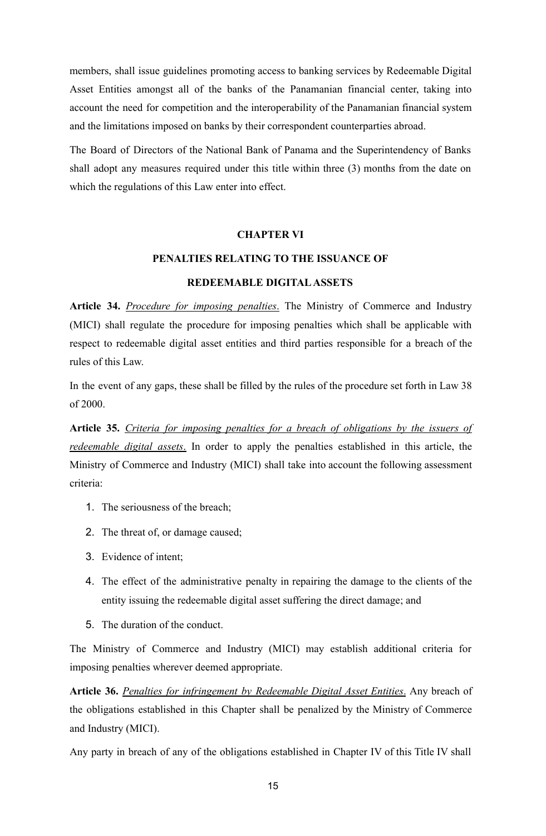members, shall issue guidelines promoting access to banking services by Redeemable Digital Asset Entities amongst all of the banks of the Panamanian financial center, taking into account the need for competition and the interoperability of the Panamanian financial system and the limitations imposed on banks by their correspondent counterparties abroad.

The Board of Directors of the National Bank of Panama and the Superintendency of Banks shall adopt any measures required under this title within three (3) months from the date on which the regulations of this Law enter into effect.

## **CHAPTER VI**

# **PENALTIES RELATING TO THE ISSUANCE OF**

## **REDEEMABLE DIGITALASSETS**

**Article 34.** *Procedure for imposing penalties*. The Ministry of Commerce and Industry (MICI) shall regulate the procedure for imposing penalties which shall be applicable with respect to redeemable digital asset entities and third parties responsible for a breach of the rules of this Law.

In the event of any gaps, these shall be filled by the rules of the procedure set forth in Law 38 of 2000.

**Article 35.** *Criteria for imposing penalties for a breach of obligations by the issuers of redeemable digital assets*. In order to apply the penalties established in this article, the Ministry of Commerce and Industry (MICI) shall take into account the following assessment criteria:

- 1. The seriousness of the breach;
- 2. The threat of, or damage caused;
- 3. Evidence of intent;
- 4. The effect of the administrative penalty in repairing the damage to the clients of the entity issuing the redeemable digital asset suffering the direct damage; and
- 5. The duration of the conduct.

The Ministry of Commerce and Industry (MICI) may establish additional criteria for imposing penalties wherever deemed appropriate.

**Article 36.** *Penalties for infringement by Redeemable Digital Asset Entities*. Any breach of the obligations established in this Chapter shall be penalized by the Ministry of Commerce and Industry (MICI).

Any party in breach of any of the obligations established in Chapter IV of this Title IV shall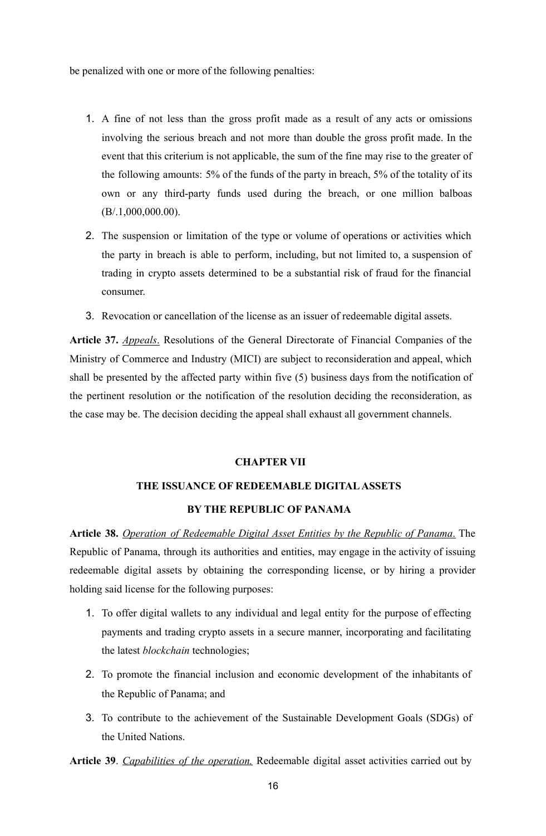be penalized with one or more of the following penalties:

- 1. A fine of not less than the gross profit made as a result of any acts or omissions involving the serious breach and not more than double the gross profit made. In the event that this criterium is not applicable, the sum of the fine may rise to the greater of the following amounts: 5% of the funds of the party in breach, 5% of the totality of its own or any third-party funds used during the breach, or one million balboas (B/.1,000,000.00).
- 2. The suspension or limitation of the type or volume of operations or activities which the party in breach is able to perform, including, but not limited to, a suspension of trading in crypto assets determined to be a substantial risk of fraud for the financial consumer.
- 3. Revocation or cancellation of the license as an issuer of redeemable digital assets.

**Article 37.** *Appeals*. Resolutions of the General Directorate of Financial Companies of the Ministry of Commerce and Industry (MICI) are subject to reconsideration and appeal, which shall be presented by the affected party within five (5) business days from the notification of the pertinent resolution or the notification of the resolution deciding the reconsideration, as the case may be. The decision deciding the appeal shall exhaust all government channels.

#### **CHAPTER VII**

## **THE ISSUANCE OF REDEEMABLE DIGITALASSETS**

## **BY THE REPUBLIC OF PANAMA**

**Article 38.** *Operation of Redeemable Digital Asset Entities by the Republic of Panama*. The Republic of Panama, through its authorities and entities, may engage in the activity of issuing redeemable digital assets by obtaining the corresponding license, or by hiring a provider holding said license for the following purposes:

- 1. To offer digital wallets to any individual and legal entity for the purpose of effecting payments and trading crypto assets in a secure manner, incorporating and facilitating the latest *blockchain* technologies;
- 2. To promote the financial inclusion and economic development of the inhabitants of the Republic of Panama; and
- 3. To contribute to the achievement of the Sustainable Development Goals (SDGs) of the United Nations.

**Article 39**. *Capabilities of the operation.* Redeemable digital asset activities carried out by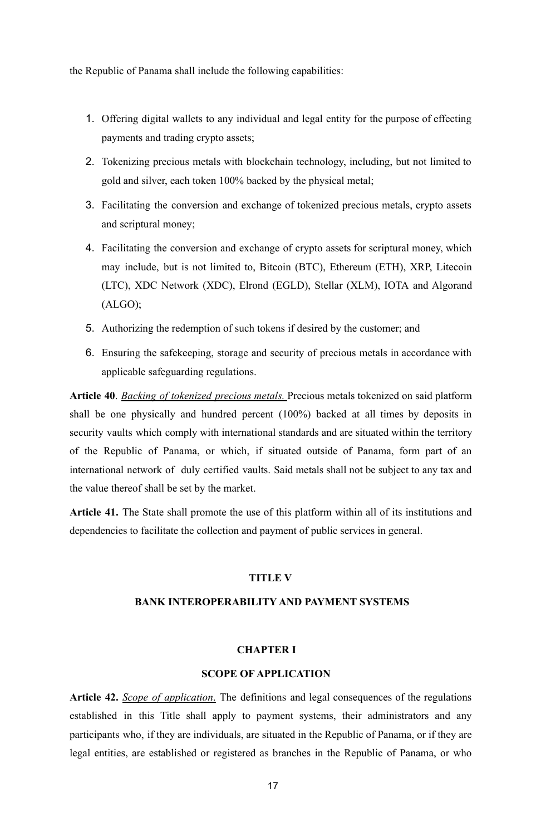the Republic of Panama shall include the following capabilities:

- 1. Offering digital wallets to any individual and legal entity for the purpose of effecting payments and trading crypto assets;
- 2. Tokenizing precious metals with blockchain technology, including, but not limited to gold and silver, each token 100% backed by the physical metal;
- 3. Facilitating the conversion and exchange of tokenized precious metals, crypto assets and scriptural money;
- 4. Facilitating the conversion and exchange of crypto assets for scriptural money, which may include, but is not limited to, Bitcoin (BTC), Ethereum (ETH), XRP, Litecoin (LTC), XDC Network (XDC), Elrond (EGLD), Stellar (XLM), IOTA and Algorand (ALGO);
- 5. Authorizing the redemption of such tokens if desired by the customer; and
- 6. Ensuring the safekeeping, storage and security of precious metals in accordance with applicable safeguarding regulations.

**Article 40**. *Backing of tokenized precious metals.* Precious metals tokenized on said platform shall be one physically and hundred percent (100%) backed at all times by deposits in security vaults which comply with international standards and are situated within the territory of the Republic of Panama, or which, if situated outside of Panama, form part of an international network of duly certified vaults. Said metals shall not be subject to any tax and the value thereof shall be set by the market.

**Article 41.** The State shall promote the use of this platform within all of its institutions and dependencies to facilitate the collection and payment of public services in general.

## **TITLE V**

## **BANK INTEROPERABILITY AND PAYMENT SYSTEMS**

## **CHAPTER I**

## **SCOPE OF APPLICATION**

**Article 42.** *Scope of application*. The definitions and legal consequences of the regulations established in this Title shall apply to payment systems, their administrators and any participants who, if they are individuals, are situated in the Republic of Panama, or if they are legal entities, are established or registered as branches in the Republic of Panama, or who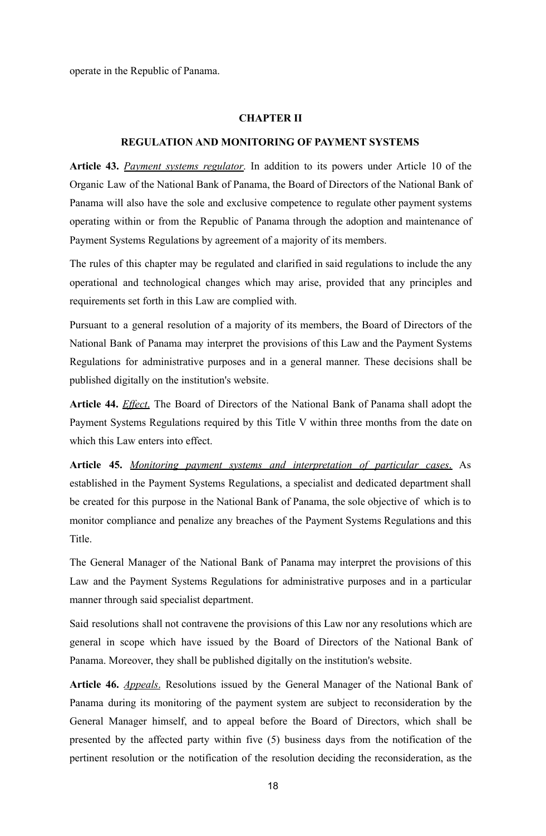operate in the Republic of Panama.

#### **CHAPTER II**

## **REGULATION AND MONITORING OF PAYMENT SYSTEMS**

**Article 43.** *Payment systems regulator*. In addition to its powers under Article 10 of the Organic Law of the National Bank of Panama, the Board of Directors of the National Bank of Panama will also have the sole and exclusive competence to regulate other payment systems operating within or from the Republic of Panama through the adoption and maintenance of Payment Systems Regulations by agreement of a majority of its members.

The rules of this chapter may be regulated and clarified in said regulations to include the any operational and technological changes which may arise, provided that any principles and requirements set forth in this Law are complied with.

Pursuant to a general resolution of a majority of its members, the Board of Directors of the National Bank of Panama may interpret the provisions of this Law and the Payment Systems Regulations for administrative purposes and in a general manner. These decisions shall be published digitally on the institution's website.

**Article 44.** *Effect*. The Board of Directors of the National Bank of Panama shall adopt the Payment Systems Regulations required by this Title V within three months from the date on which this Law enters into effect.

**Article 45.** *Monitoring payment systems and interpretation of particular cases*. As established in the Payment Systems Regulations, a specialist and dedicated department shall be created for this purpose in the National Bank of Panama, the sole objective of which is to monitor compliance and penalize any breaches of the Payment Systems Regulations and this Title.

The General Manager of the National Bank of Panama may interpret the provisions of this Law and the Payment Systems Regulations for administrative purposes and in a particular manner through said specialist department.

Said resolutions shall not contravene the provisions of this Law nor any resolutions which are general in scope which have issued by the Board of Directors of the National Bank of Panama. Moreover, they shall be published digitally on the institution's website.

**Article 46.** *Appeals*. Resolutions issued by the General Manager of the National Bank of Panama during its monitoring of the payment system are subject to reconsideration by the General Manager himself, and to appeal before the Board of Directors, which shall be presented by the affected party within five (5) business days from the notification of the pertinent resolution or the notification of the resolution deciding the reconsideration, as the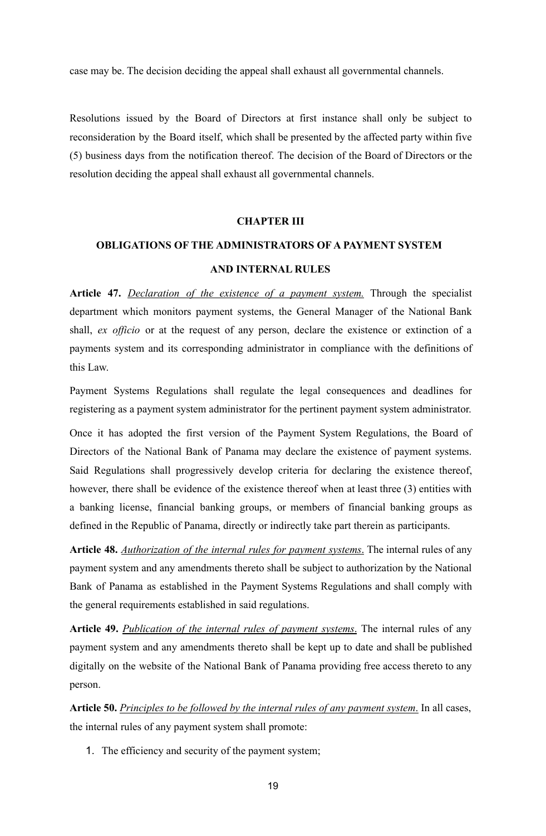case may be. The decision deciding the appeal shall exhaust all governmental channels.

Resolutions issued by the Board of Directors at first instance shall only be subject to reconsideration by the Board itself, which shall be presented by the affected party within five (5) business days from the notification thereof. The decision of the Board of Directors or the resolution deciding the appeal shall exhaust all governmental channels.

## **CHAPTER III**

# **OBLIGATIONS OF THE ADMINISTRATORS OF A PAYMENT SYSTEM AND INTERNAL RULES**

**Article 47.** *Declaration of the existence of a payment system.* Through the specialist department which monitors payment systems, the General Manager of the National Bank shall, *ex officio* or at the request of any person, declare the existence or extinction of a payments system and its corresponding administrator in compliance with the definitions of this Law.

Payment Systems Regulations shall regulate the legal consequences and deadlines for registering as a payment system administrator for the pertinent payment system administrator.

Once it has adopted the first version of the Payment System Regulations, the Board of Directors of the National Bank of Panama may declare the existence of payment systems. Said Regulations shall progressively develop criteria for declaring the existence thereof, however, there shall be evidence of the existence thereof when at least three (3) entities with a banking license, financial banking groups, or members of financial banking groups as defined in the Republic of Panama, directly or indirectly take part therein as participants.

**Article 48.** *Authorization of the internal rules for payment systems*. The internal rules of any payment system and any amendments thereto shall be subject to authorization by the National Bank of Panama as established in the Payment Systems Regulations and shall comply with the general requirements established in said regulations.

**Article 49.** *Publication of the internal rules of payment systems*. The internal rules of any payment system and any amendments thereto shall be kept up to date and shall be published digitally on the website of the National Bank of Panama providing free access thereto to any person.

**Article 50.** *Principles to be followed by the internal rules of any payment system*. In all cases, the internal rules of any payment system shall promote:

1. The efficiency and security of the payment system;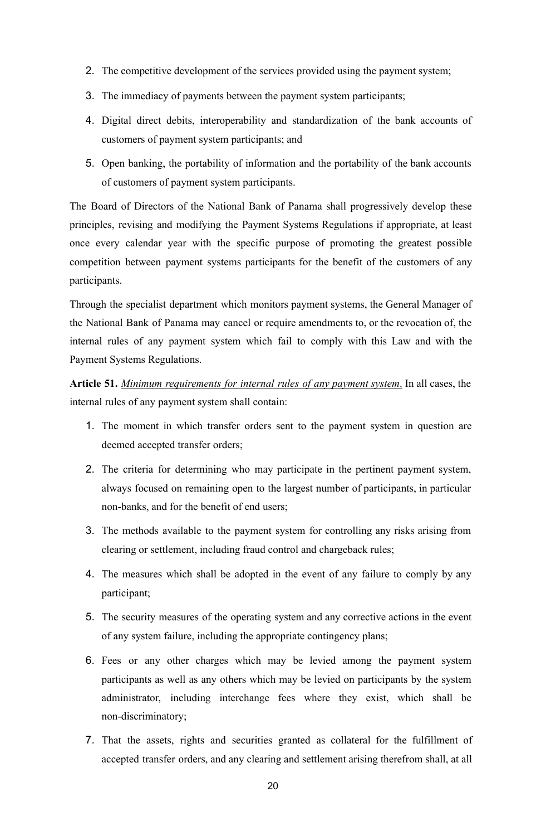- 2. The competitive development of the services provided using the payment system;
- 3. The immediacy of payments between the payment system participants;
- 4. Digital direct debits, interoperability and standardization of the bank accounts of customers of payment system participants; and
- 5. Open banking, the portability of information and the portability of the bank accounts of customers of payment system participants.

The Board of Directors of the National Bank of Panama shall progressively develop these principles, revising and modifying the Payment Systems Regulations if appropriate, at least once every calendar year with the specific purpose of promoting the greatest possible competition between payment systems participants for the benefit of the customers of any participants.

Through the specialist department which monitors payment systems, the General Manager of the National Bank of Panama may cancel or require amendments to, or the revocation of, the internal rules of any payment system which fail to comply with this Law and with the Payment Systems Regulations.

**Article 51.** *Minimum requirements for internal rules of any payment system*. In all cases, the internal rules of any payment system shall contain:

- 1. The moment in which transfer orders sent to the payment system in question are deemed accepted transfer orders;
- 2. The criteria for determining who may participate in the pertinent payment system, always focused on remaining open to the largest number of participants, in particular non-banks, and for the benefit of end users;
- 3. The methods available to the payment system for controlling any risks arising from clearing or settlement, including fraud control and chargeback rules;
- 4. The measures which shall be adopted in the event of any failure to comply by any participant;
- 5. The security measures of the operating system and any corrective actions in the event of any system failure, including the appropriate contingency plans;
- 6. Fees or any other charges which may be levied among the payment system participants as well as any others which may be levied on participants by the system administrator, including interchange fees where they exist, which shall be non-discriminatory;
- 7. That the assets, rights and securities granted as collateral for the fulfillment of accepted transfer orders, and any clearing and settlement arising therefrom shall, at all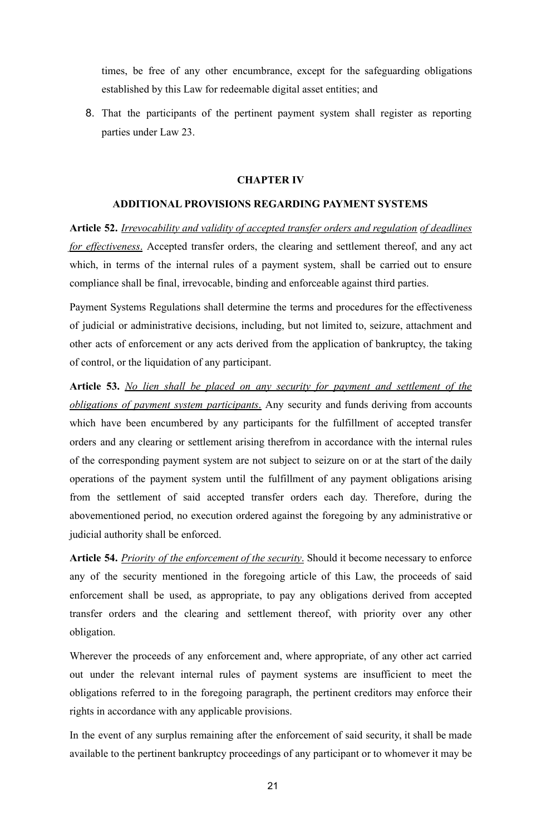times, be free of any other encumbrance, except for the safeguarding obligations established by this Law for redeemable digital asset entities; and

8. That the participants of the pertinent payment system shall register as reporting parties under Law 23.

## **CHAPTER IV**

### **ADDITIONAL PROVISIONS REGARDING PAYMENT SYSTEMS**

**Article 52.** *Irrevocability and validity of accepted transfer orders and regulation of deadlines for effectiveness*. Accepted transfer orders, the clearing and settlement thereof, and any act which, in terms of the internal rules of a payment system, shall be carried out to ensure compliance shall be final, irrevocable, binding and enforceable against third parties.

Payment Systems Regulations shall determine the terms and procedures for the effectiveness of judicial or administrative decisions, including, but not limited to, seizure, attachment and other acts of enforcement or any acts derived from the application of bankruptcy, the taking of control, or the liquidation of any participant.

**Article 53.** *No lien shall be placed on any security for payment and settlement of the obligations of payment system participants*. Any security and funds deriving from accounts which have been encumbered by any participants for the fulfillment of accepted transfer orders and any clearing or settlement arising therefrom in accordance with the internal rules of the corresponding payment system are not subject to seizure on or at the start of the daily operations of the payment system until the fulfillment of any payment obligations arising from the settlement of said accepted transfer orders each day. Therefore, during the abovementioned period, no execution ordered against the foregoing by any administrative or judicial authority shall be enforced.

**Article 54.** *Priority of the enforcement of the security*. Should it become necessary to enforce any of the security mentioned in the foregoing article of this Law, the proceeds of said enforcement shall be used, as appropriate, to pay any obligations derived from accepted transfer orders and the clearing and settlement thereof, with priority over any other obligation.

Wherever the proceeds of any enforcement and, where appropriate, of any other act carried out under the relevant internal rules of payment systems are insufficient to meet the obligations referred to in the foregoing paragraph, the pertinent creditors may enforce their rights in accordance with any applicable provisions.

In the event of any surplus remaining after the enforcement of said security, it shall be made available to the pertinent bankruptcy proceedings of any participant or to whomever it may be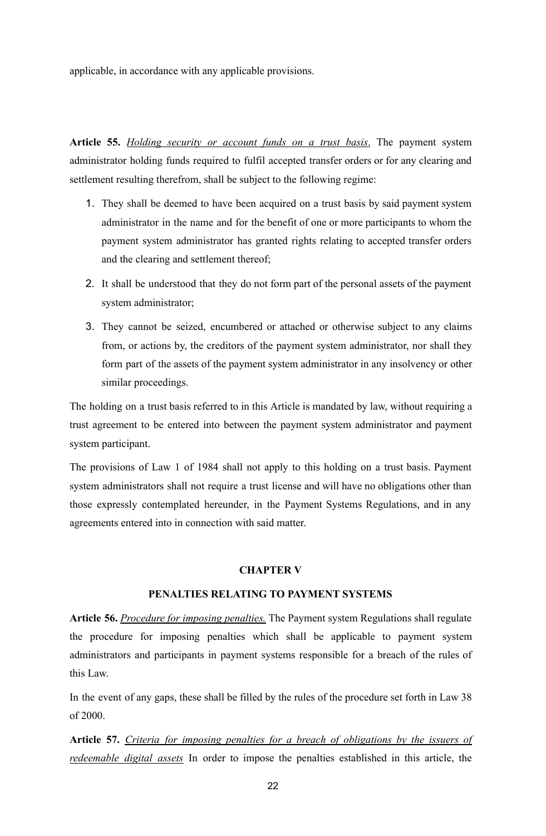applicable, in accordance with any applicable provisions.

**Article 55.** *Holding security or account funds on a trust basis*. The payment system administrator holding funds required to fulfil accepted transfer orders or for any clearing and settlement resulting therefrom, shall be subject to the following regime:

- 1. They shall be deemed to have been acquired on a trust basis by said payment system administrator in the name and for the benefit of one or more participants to whom the payment system administrator has granted rights relating to accepted transfer orders and the clearing and settlement thereof;
- 2. It shall be understood that they do not form part of the personal assets of the payment system administrator;
- 3. They cannot be seized, encumbered or attached or otherwise subject to any claims from, or actions by, the creditors of the payment system administrator, nor shall they form part of the assets of the payment system administrator in any insolvency or other similar proceedings.

The holding on a trust basis referred to in this Article is mandated by law, without requiring a trust agreement to be entered into between the payment system administrator and payment system participant.

The provisions of Law 1 of 1984 shall not apply to this holding on a trust basis. Payment system administrators shall not require a trust license and will have no obligations other than those expressly contemplated hereunder, in the Payment Systems Regulations, and in any agreements entered into in connection with said matter.

## **CHAPTER V**

## **PENALTIES RELATING TO PAYMENT SYSTEMS**

**Article 56.** *Procedure for imposing penalties.* The Payment system Regulations shall regulate the procedure for imposing penalties which shall be applicable to payment system administrators and participants in payment systems responsible for a breach of the rules of this Law.

In the event of any gaps, these shall be filled by the rules of the procedure set forth in Law 38 of 2000.

**Article 57.** *Criteria for imposing penalties for a breach of obligations by the issuers of redeemable digital assets* In order to impose the penalties established in this article, the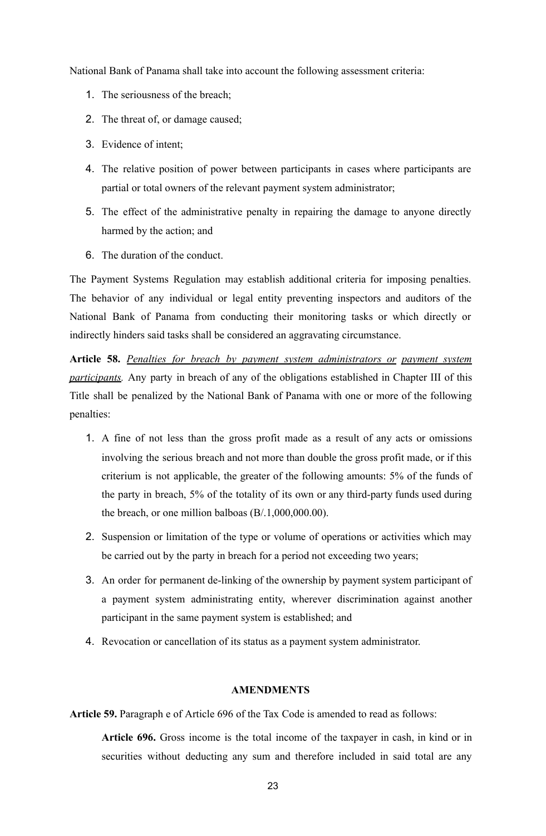National Bank of Panama shall take into account the following assessment criteria:

- 1. The seriousness of the breach;
- 2. The threat of, or damage caused;
- 3. Evidence of intent;
- 4. The relative position of power between participants in cases where participants are partial or total owners of the relevant payment system administrator;
- 5. The effect of the administrative penalty in repairing the damage to anyone directly harmed by the action; and
- 6. The duration of the conduct.

The Payment Systems Regulation may establish additional criteria for imposing penalties. The behavior of any individual or legal entity preventing inspectors and auditors of the National Bank of Panama from conducting their monitoring tasks or which directly or indirectly hinders said tasks shall be considered an aggravating circumstance.

**Article 58.** *Penalties for breach by payment system administrators or payment system participants.* Any party in breach of any of the obligations established in Chapter III of this Title shall be penalized by the National Bank of Panama with one or more of the following penalties:

- 1. A fine of not less than the gross profit made as a result of any acts or omissions involving the serious breach and not more than double the gross profit made, or if this criterium is not applicable, the greater of the following amounts: 5% of the funds of the party in breach, 5% of the totality of its own or any third-party funds used during the breach, or one million balboas  $(B/1,000,000,00)$ .
- 2. Suspension or limitation of the type or volume of operations or activities which may be carried out by the party in breach for a period not exceeding two years;
- 3. An order for permanent de-linking of the ownership by payment system participant of a payment system administrating entity, wherever discrimination against another participant in the same payment system is established; and
- 4. Revocation or cancellation of its status as a payment system administrator.

## **AMENDMENTS**

**Article 59.** Paragraph e of Article 696 of the Tax Code is amended to read as follows:

**Article 696.** Gross income is the total income of the taxpayer in cash, in kind or in securities without deducting any sum and therefore included in said total are any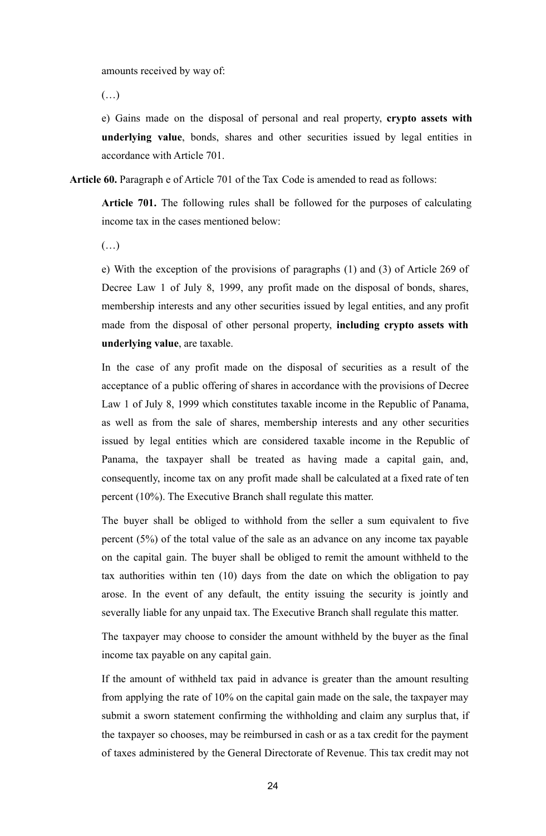amounts received by way of:

 $(\ldots)$ 

e) Gains made on the disposal of personal and real property, **crypto assets with underlying value**, bonds, shares and other securities issued by legal entities in accordance with Article 701.

**Article 60.** Paragraph e of Article 701 of the Tax Code is amended to read as follows:

**Article 701.** The following rules shall be followed for the purposes of calculating income tax in the cases mentioned below:

 $(\ldots)$ 

e) With the exception of the provisions of paragraphs (1) and (3) of Article 269 of Decree Law 1 of July 8, 1999, any profit made on the disposal of bonds, shares, membership interests and any other securities issued by legal entities, and any profit made from the disposal of other personal property, **including crypto assets with underlying value**, are taxable.

In the case of any profit made on the disposal of securities as a result of the acceptance of a public offering of shares in accordance with the provisions of Decree Law 1 of July 8, 1999 which constitutes taxable income in the Republic of Panama, as well as from the sale of shares, membership interests and any other securities issued by legal entities which are considered taxable income in the Republic of Panama, the taxpayer shall be treated as having made a capital gain, and, consequently, income tax on any profit made shall be calculated at a fixed rate of ten percent (10%). The Executive Branch shall regulate this matter.

The buyer shall be obliged to withhold from the seller a sum equivalent to five percent (5%) of the total value of the sale as an advance on any income tax payable on the capital gain. The buyer shall be obliged to remit the amount withheld to the tax authorities within ten (10) days from the date on which the obligation to pay arose. In the event of any default, the entity issuing the security is jointly and severally liable for any unpaid tax. The Executive Branch shall regulate this matter.

The taxpayer may choose to consider the amount withheld by the buyer as the final income tax payable on any capital gain.

If the amount of withheld tax paid in advance is greater than the amount resulting from applying the rate of 10% on the capital gain made on the sale, the taxpayer may submit a sworn statement confirming the withholding and claim any surplus that, if the taxpayer so chooses, may be reimbursed in cash or as a tax credit for the payment of taxes administered by the General Directorate of Revenue. This tax credit may not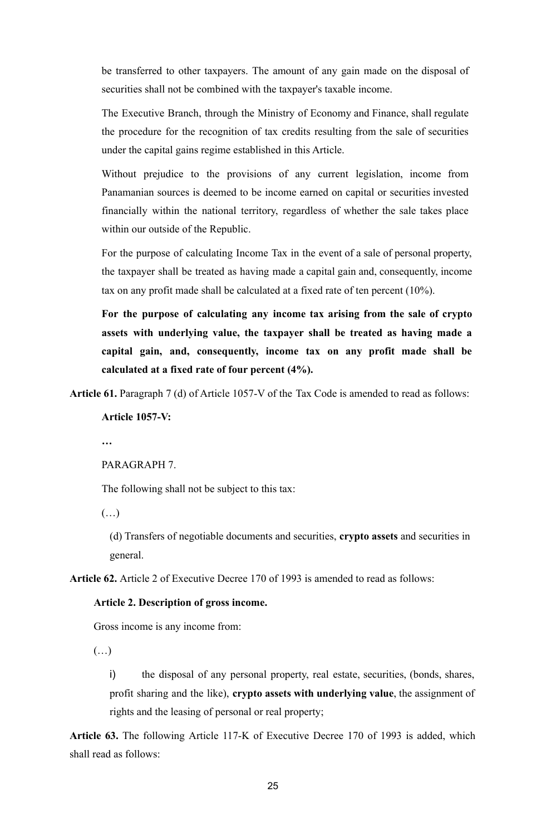be transferred to other taxpayers. The amount of any gain made on the disposal of securities shall not be combined with the taxpayer's taxable income.

The Executive Branch, through the Ministry of Economy and Finance, shall regulate the procedure for the recognition of tax credits resulting from the sale of securities under the capital gains regime established in this Article.

Without prejudice to the provisions of any current legislation, income from Panamanian sources is deemed to be income earned on capital or securities invested financially within the national territory, regardless of whether the sale takes place within our outside of the Republic.

For the purpose of calculating Income Tax in the event of a sale of personal property, the taxpayer shall be treated as having made a capital gain and, consequently, income tax on any profit made shall be calculated at a fixed rate of ten percent (10%).

**For the purpose of calculating any income tax arising from the sale of crypto assets with underlying value, the taxpayer shall be treated as having made a capital gain, and, consequently, income tax on any profit made shall be calculated at a fixed rate of four percent (4%).**

**Article 61.** Paragraph 7 (d) of Article 1057-V of the Tax Code is amended to read as follows:

**Article 1057-V:**

**…**

PARAGRAPH 7.

The following shall not be subject to this tax:

(…)

(d) Transfers of negotiable documents and securities, **crypto assets** and securities in general.

**Article 62.** Article 2 of Executive Decree 170 of 1993 is amended to read as follows:

## **Article 2. Description of gross income.**

Gross income is any income from:

 $(\ldots)$ 

i) the disposal of any personal property, real estate, securities, (bonds, shares, profit sharing and the like), **crypto assets with underlying value**, the assignment of rights and the leasing of personal or real property;

**Article 63.** The following Article 117-K of Executive Decree 170 of 1993 is added, which shall read as follows: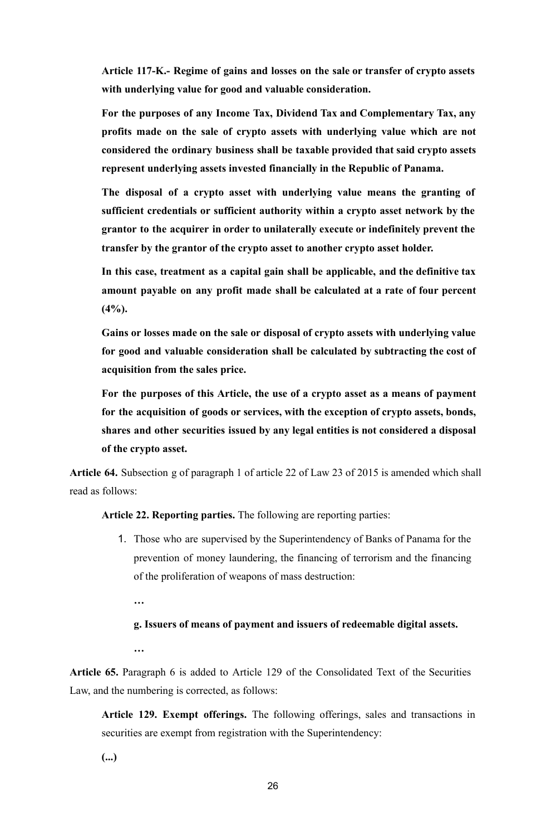**Article 117-K.- Regime of gains and losses on the sale or transfer of crypto assets with underlying value for good and valuable consideration.**

**For the purposes of any Income Tax, Dividend Tax and Complementary Tax, any profits made on the sale of crypto assets with underlying value which are not considered the ordinary business shall be taxable provided that said crypto assets represent underlying assets invested financially in the Republic of Panama.**

**The disposal of a crypto asset with underlying value means the granting of sufficient credentials or sufficient authority within a crypto asset network by the grantor to the acquirer in order to unilaterally execute or indefinitely prevent the transfer by the grantor of the crypto asset to another crypto asset holder.**

**In this case, treatment as a capital gain shall be applicable, and the definitive tax amount payable on any profit made shall be calculated at a rate of four percent (4%).**

**Gains or losses made on the sale or disposal of crypto assets with underlying value for good and valuable consideration shall be calculated by subtracting the cost of acquisition from the sales price.**

**For the purposes of this Article, the use of a crypto asset as a means of payment for the acquisition of goods or services, with the exception of crypto assets, bonds, shares and other securities issued by any legal entities is not considered a disposal of the crypto asset.**

**Article 64.** Subsection g of paragraph 1 of article 22 of Law 23 of 2015 is amended which shall read as follows:

**Article 22. Reporting parties.** The following are reporting parties:

1. Those who are supervised by the Superintendency of Banks of Panama for the prevention of money laundering, the financing of terrorism and the financing of the proliferation of weapons of mass destruction:

**…**

## **g. Issuers of means of payment and issuers of redeemable digital assets.**

**…**

**Article 65.** Paragraph 6 is added to Article 129 of the Consolidated Text of the Securities Law, and the numbering is corrected, as follows:

**Article 129. Exempt offerings.** The following offerings, sales and transactions in securities are exempt from registration with the Superintendency:

**(...)**